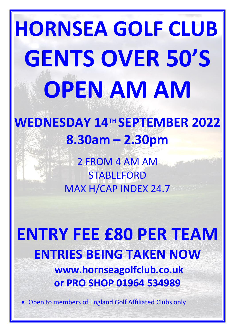# **HORNSEA GOLF CLUB GENTS OVER 50'S OPEN AM AM**

# **WEDNESDAY 14 TH SEPTEMBER 2022 8.30am – 2.30pm**

2 FROM 4 AM AM **STABLEFORD** MAX H/CAP INDEX 24.7

**ENTRY FEE £80 PER TEAM ENTRIES BEING TAKEN NOW www.hornseagolfclub.co.uk or PRO SHOP 01964 534989**

• Open to members of England Golf Affiliated Clubs only